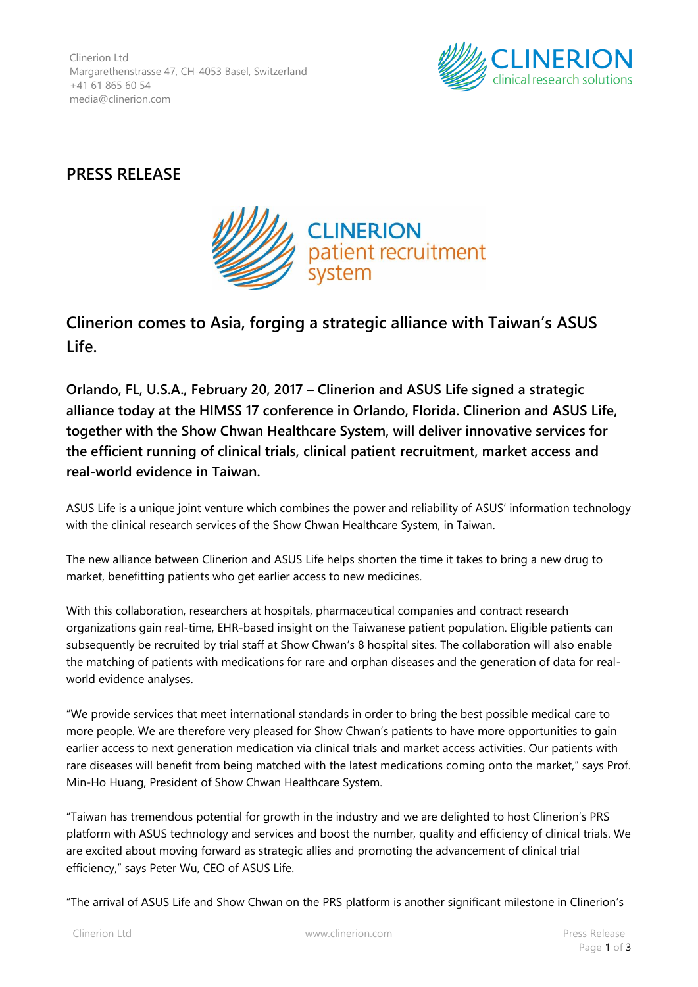Clinerion Ltd Margarethenstrasse 47, CH-4053 Basel, Switzerland +41 61 865 60 54 media@clinerion.com



## **PRESS RELEASE**



## **Clinerion comes to Asia, forging a strategic alliance with Taiwan's ASUS Life.**

**Orlando, FL, U.S.A., February 20, 2017 – Clinerion and ASUS Life signed a strategic alliance today at the HIMSS 17 conference in Orlando, Florida. Clinerion and ASUS Life, together with the Show Chwan Healthcare System, will deliver innovative services for the efficient running of clinical trials, clinical patient recruitment, market access and real-world evidence in Taiwan.**

ASUS Life is a unique joint venture which combines the power and reliability of ASUS' information technology with the clinical research services of the Show Chwan Healthcare System, in Taiwan.

The new alliance between Clinerion and ASUS Life helps shorten the time it takes to bring a new drug to market, benefitting patients who get earlier access to new medicines.

With this collaboration, researchers at hospitals, pharmaceutical companies and contract research organizations gain real-time, EHR-based insight on the Taiwanese patient population. Eligible patients can subsequently be recruited by trial staff at Show Chwan's 8 hospital sites. The collaboration will also enable the matching of patients with medications for rare and orphan diseases and the generation of data for realworld evidence analyses.

"We provide services that meet international standards in order to bring the best possible medical care to more people. We are therefore very pleased for Show Chwan's patients to have more opportunities to gain earlier access to next generation medication via clinical trials and market access activities. Our patients with rare diseases will benefit from being matched with the latest medications coming onto the market," says Prof. Min-Ho Huang, President of Show Chwan Healthcare System.

"Taiwan has tremendous potential for growth in the industry and we are delighted to host Clinerion's PRS platform with ASUS technology and services and boost the number, quality and efficiency of clinical trials. We are excited about moving forward as strategic allies and promoting the advancement of clinical trial efficiency," says Peter Wu, CEO of ASUS Life.

"The arrival of ASUS Life and Show Chwan on the PRS platform is another significant milestone in Clinerion's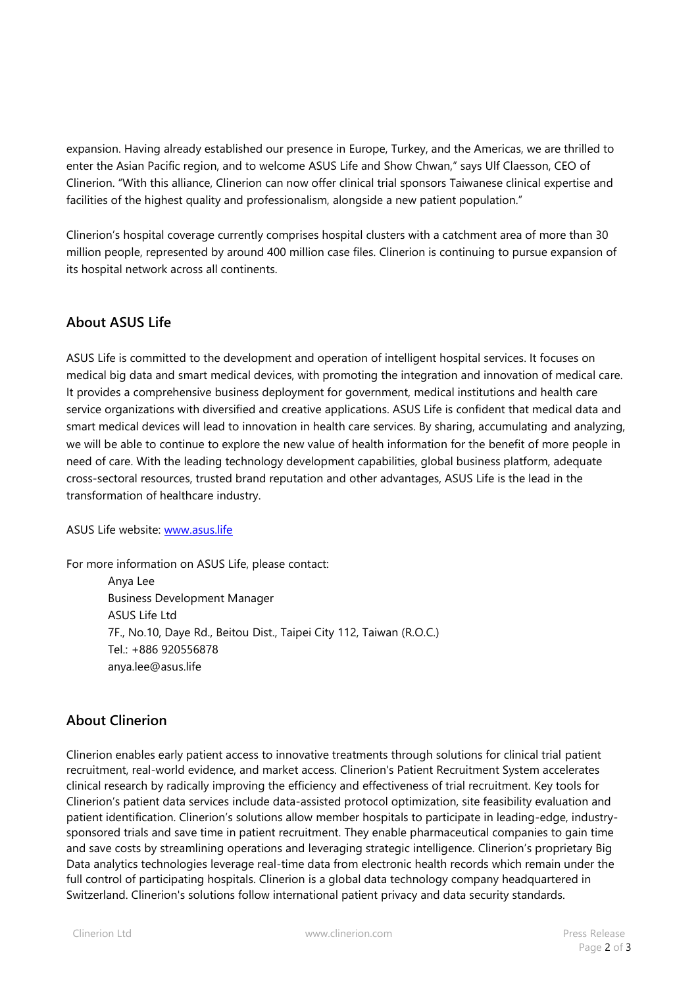expansion. Having already established our presence in Europe, Turkey, and the Americas, we are thrilled to enter the Asian Pacific region, and to welcome ASUS Life and Show Chwan," says Ulf Claesson, CEO of Clinerion. "With this alliance, Clinerion can now offer clinical trial sponsors Taiwanese clinical expertise and facilities of the highest quality and professionalism, alongside a new patient population."

Clinerion's hospital coverage currently comprises hospital clusters with a catchment area of more than 30 million people, represented by around 400 million case files. Clinerion is continuing to pursue expansion of its hospital network across all continents.

## **About ASUS Life**

ASUS Life is committed to the development and operation of intelligent hospital services. It focuses on medical big data and smart medical devices, with promoting the integration and innovation of medical care. It provides a comprehensive business deployment for government, medical institutions and health care service organizations with diversified and creative applications. ASUS Life is confident that medical data and smart medical devices will lead to innovation in health care services. By sharing, accumulating and analyzing, we will be able to continue to explore the new value of health information for the benefit of more people in need of care. With the leading technology development capabilities, global business platform, adequate cross-sectoral resources, trusted brand reputation and other advantages, ASUS Life is the lead in the transformation of healthcare industry.

ASUS Life website: [www.asus.life](http://www.asus.life/)

For more information on ASUS Life, please contact: Anya Lee Business Development Manager ASUS Life Ltd 7F., No.10, Daye Rd., Beitou Dist., Taipei City 112, Taiwan (R.O.C.) Tel.: +886 920556878 anya.lee@asus.life

## **About Clinerion**

Clinerion enables early patient access to innovative treatments through solutions for clinical trial patient recruitment, real-world evidence, and market access. Clinerion's Patient Recruitment System accelerates clinical research by radically improving the efficiency and effectiveness of trial recruitment. Key tools for Clinerion's patient data services include data-assisted protocol optimization, site feasibility evaluation and patient identification. Clinerion's solutions allow member hospitals to participate in leading-edge, industrysponsored trials and save time in patient recruitment. They enable pharmaceutical companies to gain time and save costs by streamlining operations and leveraging strategic intelligence. Clinerion's proprietary Big Data analytics technologies leverage real-time data from electronic health records which remain under the full control of participating hospitals. Clinerion is a global data technology company headquartered in Switzerland. Clinerion's solutions follow international patient privacy and data security standards.